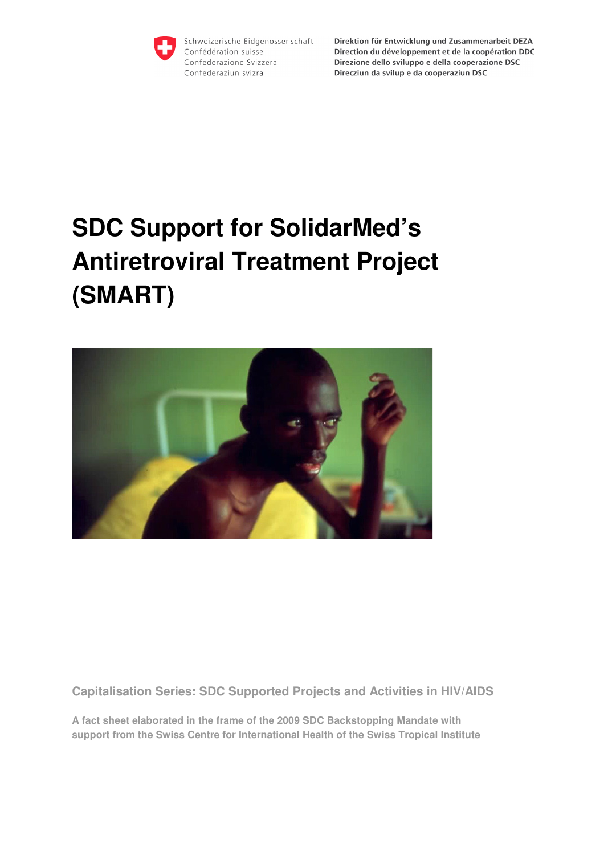

Schweizerische Eidgenossenschaft Confédération suisse Confederazione Svizzera Confederaziun svizra

Direktion für Entwicklung und Zusammenarbeit DEZA Direction du développement et de la coopération DDC Direzione dello sviluppo e della cooperazione DSC Direcziun da svilup e da cooperaziun DSC

# **SDC Support for SolidarMed's Antiretroviral Treatment Project (SMART)**



**Capitalisation Series: SDC Supported Projects and Activities in HIV/AIDS** 

**A fact sheet elaborated in the frame of the 2009 SDC Backstopping Mandate with support from the Swiss Centre for International Health of the Swiss Tropical Institute**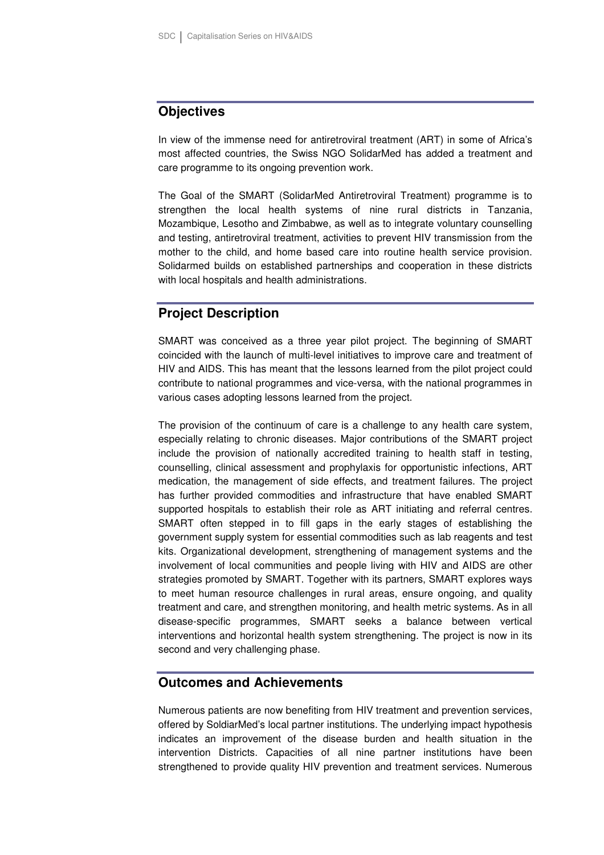## **Objectives**

In view of the immense need for antiretroviral treatment (ART) in some of Africa's most affected countries, the Swiss NGO SolidarMed has added a treatment and care programme to its ongoing prevention work.

The Goal of the SMART (SolidarMed Antiretroviral Treatment) programme is to strengthen the local health systems of nine rural districts in Tanzania, Mozambique, Lesotho and Zimbabwe, as well as to integrate voluntary counselling and testing, antiretroviral treatment, activities to prevent HIV transmission from the mother to the child, and home based care into routine health service provision. Solidarmed builds on established partnerships and cooperation in these districts with local hospitals and health administrations.

## **Project Description**

SMART was conceived as a three year pilot project. The beginning of SMART coincided with the launch of multi-level initiatives to improve care and treatment of HIV and AIDS. This has meant that the lessons learned from the pilot project could contribute to national programmes and vice-versa, with the national programmes in various cases adopting lessons learned from the project.

The provision of the continuum of care is a challenge to any health care system, especially relating to chronic diseases. Major contributions of the SMART project include the provision of nationally accredited training to health staff in testing, counselling, clinical assessment and prophylaxis for opportunistic infections, ART medication, the management of side effects, and treatment failures. The project has further provided commodities and infrastructure that have enabled SMART supported hospitals to establish their role as ART initiating and referral centres. SMART often stepped in to fill gaps in the early stages of establishing the government supply system for essential commodities such as lab reagents and test kits. Organizational development, strengthening of management systems and the involvement of local communities and people living with HIV and AIDS are other strategies promoted by SMART. Together with its partners, SMART explores ways to meet human resource challenges in rural areas, ensure ongoing, and quality treatment and care, and strengthen monitoring, and health metric systems. As in all disease-specific programmes, SMART seeks a balance between vertical interventions and horizontal health system strengthening. The project is now in its second and very challenging phase.

#### **Outcomes and Achievements**

Numerous patients are now benefiting from HIV treatment and prevention services, offered by SoldiarMed's local partner institutions. The underlying impact hypothesis indicates an improvement of the disease burden and health situation in the intervention Districts. Capacities of all nine partner institutions have been strengthened to provide quality HIV prevention and treatment services. Numerous